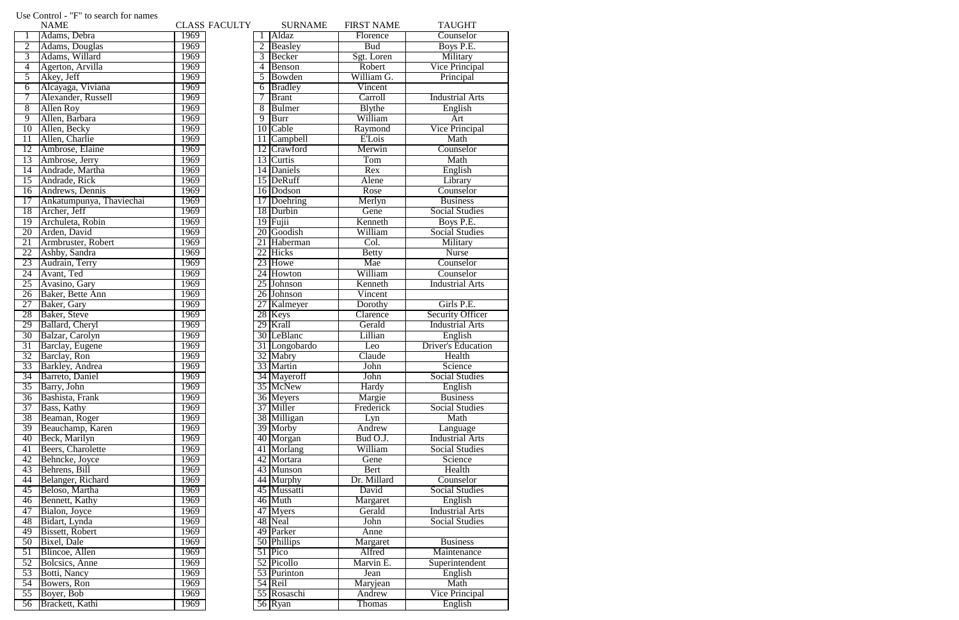|                 | <b>NAME</b>              |      | <b>CLASS FACULTY</b> |    | <b>SURNAME</b> | <b>FIRST NAME</b> | <b>TAUGHT</b>             |
|-----------------|--------------------------|------|----------------------|----|----------------|-------------------|---------------------------|
|                 | Adams, Debra             | 1969 |                      |    | Aldaz          | Florence          | Counselor                 |
| $\overline{2}$  | Adams, Douglas           | 1969 |                      |    | Beasley        | <b>Bud</b>        | Boys P.E.                 |
| $\overline{3}$  | Adams, Willard           | 1969 |                      | 3  | Becker         | Sgt. Loren        | Military                  |
| $\overline{4}$  | Agerton, Arvilla         | 1969 |                      | 4  | Benson         | Robert            | <b>Vice Principal</b>     |
| 5               | Akey, Jeff               | 1969 |                      | 5  | Bowden         | William G.        | Principal                 |
| $\overline{6}$  | Alcayaga, Viviana        | 1969 |                      | 6  | <b>Bradley</b> | Vincent           |                           |
| 7               | Alexander, Russell       | 1969 |                      | 7  | <b>Brant</b>   | Carroll           | <b>Industrial Arts</b>    |
| $\overline{8}$  | <b>Allen Roy</b>         | 1969 |                      | 8  | <b>Bulmer</b>  | <b>B</b> lythe    | English                   |
| $\overline{9}$  | Allen, Barbara           | 1969 |                      | 9  | <b>Burr</b>    | William           | Art                       |
| $\overline{10}$ | Allen, Becky             | 1969 |                      | 10 | Cable          | Raymond           | <b>Vice Principal</b>     |
| 11              | Allen, Charlie           | 1969 |                      | 11 | Campbell       | <b>E'Lois</b>     | Math                      |
| 12              | Ambrose, Elaine          | 1969 |                      | 12 | Crawford       | Merwin            | Counselor                 |
| 13              | Ambrose, Jerry           | 1969 |                      |    | 13 Curtis      | Tom               | Math                      |
| $\overline{14}$ | Andrade, Martha          | 1969 |                      |    | 14 Daniels     | Rex               | English                   |
| $\overline{15}$ | Andrade, Rick            | 1969 |                      |    | 15 DeRuff      | Alene             | Library                   |
| 16              | Andrews, Dennis          | 1969 |                      |    | 16 Dodson      | Rose              | Counselor                 |
| 17              | Ankatumpunya, Thaviechai | 1969 |                      |    | 17 Doehring    | Merlyn            | <b>Business</b>           |
| 18              | Archer, Jeff             | 1969 |                      |    | 18 Durbin      | Gene              | <b>Social Studies</b>     |
| 19              | Archuleta, Robin         | 1969 |                      |    | $19$ Fujii     | Kenneth           | Boys P.E.                 |
| 20              | Arden, David             | 1969 |                      |    | 20 Goodish     | William           | <b>Social Studies</b>     |
|                 |                          |      |                      |    |                |                   |                           |
| 21              | Armbruster, Robert       | 1969 |                      |    | 21 Haberman    | Col.              | Military                  |
| 22              | Ashby, Sandra            | 1969 |                      |    | 22 Hicks       | <b>Betty</b>      | <b>Nurse</b>              |
| 23              | Audrain, Terry           | 1969 |                      |    | 23 Howe        | Mae               | Counselor                 |
| 24              | Avant, Ted               | 1969 |                      |    | 24 Howton      | William           | Counselor                 |
| 25              | Avasino, Gary            | 1969 |                      |    | 25 Johnson     | Kenneth           | <b>Industrial Arts</b>    |
| $\overline{26}$ | Baker, Bette Ann         | 1969 |                      |    | 26 Johnson     | Vincent           |                           |
| 27              | Baker, Gary              | 1969 |                      |    | 27 Kalmeyer    | Dorothy           | Girls P.E.                |
| 28              | Baker, Steve             | 1969 |                      |    | 28 Keys        | Clarence          | <b>Security Officer</b>   |
| 29              | Ballard, Cheryl          | 1969 |                      |    | 29 Krall       | Gerald            | <b>Industrial Arts</b>    |
| 30              | Balzar, Carolyn          | 1969 |                      |    | 30 LeBlanc     | Lillian           | English                   |
| 31              | Barclay, Eugene          | 1969 |                      |    | 31 Longobardo  | Leo               | <b>Driver's Education</b> |
| $\overline{32}$ | Barclay, Ron             | 1969 |                      |    | 32 Mabry       | Claude            | Health                    |
| 33              | <b>Barkley</b> , Andrea  | 1969 |                      |    | 33 Martin      | John              | Science                   |
| 34              | Barreto, Daniel          | 1969 |                      |    | 34 Mayeroff    | John              | <b>Social Studies</b>     |
| $\overline{35}$ | Barry, John              | 1969 |                      |    | 35 McNew       | Hardy             | English                   |
| 36              | Bashista, Frank          | 1969 |                      |    | 36 Meyers      | Margie            | <b>Business</b>           |
| 37              | Bass, Kathy              | 1969 |                      |    | 37 Miller      | Frederick         | <b>Social Studies</b>     |
| 38              | Beaman, Roger            | 1969 |                      |    | 38 Milligan    | Lyn               | Math                      |
| 39              | Beauchamp, Karen         | 1969 |                      |    | 39 Morby       | Andrew            | Language                  |
| 40              | Beck, Marilyn            | 1969 |                      |    | 40 Morgan      | Bud O.J.          | <b>Industrial Arts</b>    |
| 41              | Beers, Charolette        | 1969 |                      |    | 41 Morlang     | William           | <b>Social Studies</b>     |
| 42              | Behncke, Joyce           | 1969 |                      |    | 42 Mortara     | Gene              | Science                   |
| 43              | Behrens, Bill            | 1969 |                      |    | 43 Munson      | Bert              | Health                    |
| 44              | Belanger, Richard        | 1969 |                      |    | 44 Murphy      | Dr. Millard       | Counselor                 |
| 45              | Beloso, Martha           | 1969 |                      |    | 45 Mussatti    | David             | <b>Social Studies</b>     |
| $\overline{46}$ | Bennett, Kathy           | 1969 |                      |    | 46 Muth        | Margaret          | English                   |
| 47              | Bialon, Joyce            | 1969 |                      |    | 47 Myers       | Gerald            | <b>Industrial Arts</b>    |
| 48              | Bidart, Lynda            | 1969 |                      |    | 48 Neal        | John              | <b>Social Studies</b>     |
| 49              | <b>Bissett, Robert</b>   | 1969 |                      |    | 49 Parker      | Anne              |                           |
| $\overline{50}$ | Bixel, Dale              | 1969 |                      |    | 50 Phillips    | Margaret          | <b>Business</b>           |
| $\overline{51}$ | Blincoe, Allen           | 1969 |                      |    | 51 Pico        | Alfred            | Maintenance               |
| $\overline{52}$ | Bolcsics, Anne           | 1969 |                      |    | 52 Picollo     | Marvin E.         | Superintendent            |
| 53              | Botti, Nancy             | 1969 |                      |    | 53 Purinton    | Jean              | English                   |
| $\overline{54}$ | Bowers, Ron              | 1969 |                      |    | 54 Reil        | Maryjean          | Math                      |
| $\overline{55}$ | Boyer, Bob               | 1969 |                      |    | 55 Rosaschi    | Andrew            | <b>Vice Principal</b>     |
| 56              | Brackett, Kathi          | 1969 |                      |    | 56 Ryan        | Thomas            | English                   |
|                 |                          |      |                      |    |                |                   |                           |

## Use Control - "F" to search for names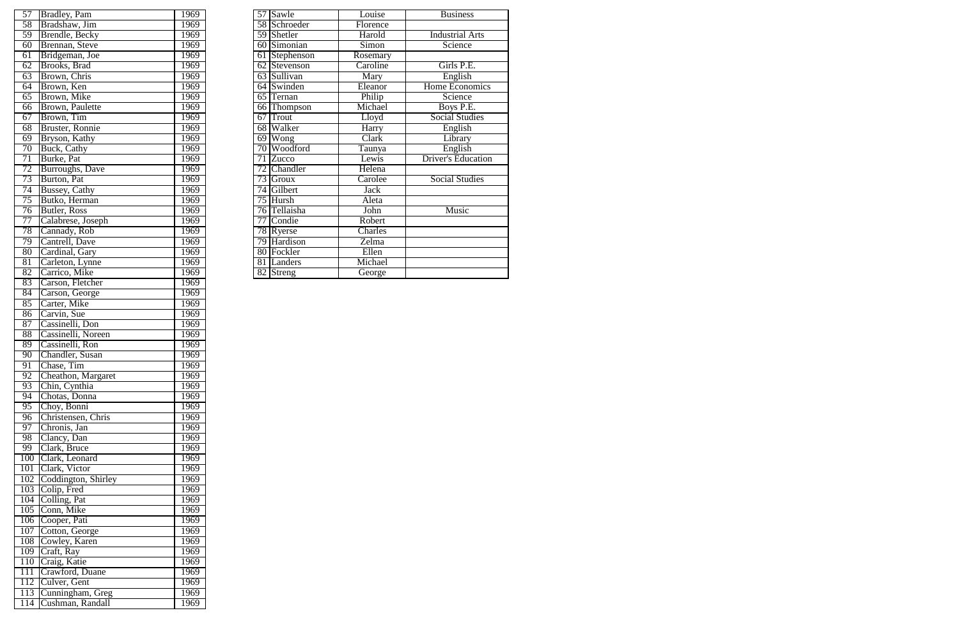| 57              | Bradley, Pam                | 1969 |                 | 57 Sawle               | Louise                    | <b>Business</b>           |
|-----------------|-----------------------------|------|-----------------|------------------------|---------------------------|---------------------------|
| 58              | Bradshaw, Jim               | 1969 |                 | 58 Schroeder           | Florence                  |                           |
| 59              | Brendle, Becky              | 1969 |                 | 59 Shetler             | Harold                    | <b>Industrial Arts</b>    |
| 60              | Brennan, Steve              | 1969 |                 | 60 Simonian            | $\overline{\text{Simon}}$ | Science                   |
| 61              | Bridgeman, Joe              | 1969 |                 | 61 Stephenson          | Rosemary                  |                           |
| $\overline{62}$ | <b>Brooks</b> , <b>Brad</b> | 1969 |                 | 62 Stevenson           | Caroline                  | Girls P.E.                |
| $\overline{63}$ | Brown, Chris                | 1969 |                 | 63 Sullivan            | Mary                      | English                   |
| 64              | Brown, Ken                  | 1969 | 64              | Swinden                | Eleanor                   | Home Economics            |
| $\overline{65}$ | Brown, Mike                 | 1969 |                 | $\overline{65}$ Ternan | Philip                    | Science                   |
| 66              | Brown, Paulette             | 1969 |                 | 66 Thompson            | Michael                   | Boys P.E.                 |
| 67              | Brown, Tim                  | 1969 | 67              | Trout                  | Lloyd                     | <b>Social Studies</b>     |
| $\overline{68}$ | <b>Bruster, Ronnie</b>      | 1969 |                 | 68 Walker              | Harry                     | English                   |
| 69              | Bryson, Kathy               | 1969 | 69              | <b>Wong</b>            | Clark                     | Library                   |
| $\overline{70}$ | Buck, Cathy                 | 1969 |                 | 70 Woodford            | Taunya                    | English                   |
| $\overline{71}$ | Burke, Pat                  | 1969 | $\overline{71}$ | <b>Zucco</b>           | Lewis                     | <b>Driver's Education</b> |
| 72              | Burroughs, Dave             | 1969 |                 | 72 Chandler            | Helena                    |                           |
| 73              | Burton, Pat                 | 1969 |                 | 73 Groux               | Carolee                   | <b>Social Studies</b>     |
| 74              | Bussey, Cathy               | 1969 |                 | 74 Gilbert             | Jack                      |                           |
| 75              | Butko, Herman               | 1969 |                 | 75 Hursh               | Aleta                     |                           |
| 76              | <b>Butler, Ross</b>         | 1969 |                 | 76 Tellaisha           | John                      | Music                     |
| 77              | Calabrese, Joseph           | 1969 |                 | 77 Condie              | Robert                    |                           |
| 78              | Cannady, Rob                | 1969 |                 | 78 Ryerse              | Charles                   |                           |
| 79              | Cantrell, Dave              | 1969 |                 | 79 Hardison            | Zelma                     |                           |
| $\overline{80}$ | Cardinal, Gary              | 1969 |                 | 80 Fockler             | Ellen                     |                           |
| $\overline{81}$ | Carleton, Lynne             | 1969 | 81              | Landers                | Michael                   |                           |
| 82              | Carrico, Mike               | 1969 |                 | 82 Streng              | George                    |                           |
|                 |                             |      |                 |                        |                           |                           |

|                  | 1969                                                                                                                                                                                                                                                                                                                                                                                                                                                                                                                                                                                                                                                                                                                                                                                                                                                                                                         |                                                                                      | Louise                                                                                                                                                                                                                                                                                                                                                                    |
|------------------|--------------------------------------------------------------------------------------------------------------------------------------------------------------------------------------------------------------------------------------------------------------------------------------------------------------------------------------------------------------------------------------------------------------------------------------------------------------------------------------------------------------------------------------------------------------------------------------------------------------------------------------------------------------------------------------------------------------------------------------------------------------------------------------------------------------------------------------------------------------------------------------------------------------|--------------------------------------------------------------------------------------|---------------------------------------------------------------------------------------------------------------------------------------------------------------------------------------------------------------------------------------------------------------------------------------------------------------------------------------------------------------------------|
|                  |                                                                                                                                                                                                                                                                                                                                                                                                                                                                                                                                                                                                                                                                                                                                                                                                                                                                                                              |                                                                                      | Florence                                                                                                                                                                                                                                                                                                                                                                  |
|                  | 1969                                                                                                                                                                                                                                                                                                                                                                                                                                                                                                                                                                                                                                                                                                                                                                                                                                                                                                         |                                                                                      | Harold                                                                                                                                                                                                                                                                                                                                                                    |
|                  | 1969                                                                                                                                                                                                                                                                                                                                                                                                                                                                                                                                                                                                                                                                                                                                                                                                                                                                                                         |                                                                                      | Simon                                                                                                                                                                                                                                                                                                                                                                     |
|                  | 1969                                                                                                                                                                                                                                                                                                                                                                                                                                                                                                                                                                                                                                                                                                                                                                                                                                                                                                         |                                                                                      | Rosemary                                                                                                                                                                                                                                                                                                                                                                  |
| Brooks, Brad     | 1969                                                                                                                                                                                                                                                                                                                                                                                                                                                                                                                                                                                                                                                                                                                                                                                                                                                                                                         |                                                                                      | Caroline                                                                                                                                                                                                                                                                                                                                                                  |
| Brown, Chris     | 1969                                                                                                                                                                                                                                                                                                                                                                                                                                                                                                                                                                                                                                                                                                                                                                                                                                                                                                         |                                                                                      | Mary                                                                                                                                                                                                                                                                                                                                                                      |
| Brown, Ken       | 1969                                                                                                                                                                                                                                                                                                                                                                                                                                                                                                                                                                                                                                                                                                                                                                                                                                                                                                         |                                                                                      | Eleanor                                                                                                                                                                                                                                                                                                                                                                   |
| Brown, Mike      | 1969                                                                                                                                                                                                                                                                                                                                                                                                                                                                                                                                                                                                                                                                                                                                                                                                                                                                                                         |                                                                                      | Philip                                                                                                                                                                                                                                                                                                                                                                    |
|                  | 1969                                                                                                                                                                                                                                                                                                                                                                                                                                                                                                                                                                                                                                                                                                                                                                                                                                                                                                         |                                                                                      | Michael                                                                                                                                                                                                                                                                                                                                                                   |
|                  | 1969                                                                                                                                                                                                                                                                                                                                                                                                                                                                                                                                                                                                                                                                                                                                                                                                                                                                                                         |                                                                                      | Lloyd                                                                                                                                                                                                                                                                                                                                                                     |
|                  | 1969                                                                                                                                                                                                                                                                                                                                                                                                                                                                                                                                                                                                                                                                                                                                                                                                                                                                                                         |                                                                                      | Harry                                                                                                                                                                                                                                                                                                                                                                     |
| Bryson, Kathy    | 1969                                                                                                                                                                                                                                                                                                                                                                                                                                                                                                                                                                                                                                                                                                                                                                                                                                                                                                         |                                                                                      | Clark                                                                                                                                                                                                                                                                                                                                                                     |
|                  | 1969                                                                                                                                                                                                                                                                                                                                                                                                                                                                                                                                                                                                                                                                                                                                                                                                                                                                                                         |                                                                                      | Taunya                                                                                                                                                                                                                                                                                                                                                                    |
| Burke, Pat       | 1969                                                                                                                                                                                                                                                                                                                                                                                                                                                                                                                                                                                                                                                                                                                                                                                                                                                                                                         |                                                                                      | Lewis                                                                                                                                                                                                                                                                                                                                                                     |
|                  | 1969                                                                                                                                                                                                                                                                                                                                                                                                                                                                                                                                                                                                                                                                                                                                                                                                                                                                                                         |                                                                                      | Helena                                                                                                                                                                                                                                                                                                                                                                    |
| Burton, Pat      | 1969                                                                                                                                                                                                                                                                                                                                                                                                                                                                                                                                                                                                                                                                                                                                                                                                                                                                                                         |                                                                                      | Carolee                                                                                                                                                                                                                                                                                                                                                                   |
|                  | 1969                                                                                                                                                                                                                                                                                                                                                                                                                                                                                                                                                                                                                                                                                                                                                                                                                                                                                                         |                                                                                      | Jack                                                                                                                                                                                                                                                                                                                                                                      |
|                  | 1969                                                                                                                                                                                                                                                                                                                                                                                                                                                                                                                                                                                                                                                                                                                                                                                                                                                                                                         |                                                                                      | Aleta                                                                                                                                                                                                                                                                                                                                                                     |
|                  | 1969                                                                                                                                                                                                                                                                                                                                                                                                                                                                                                                                                                                                                                                                                                                                                                                                                                                                                                         |                                                                                      | John                                                                                                                                                                                                                                                                                                                                                                      |
|                  | 1969                                                                                                                                                                                                                                                                                                                                                                                                                                                                                                                                                                                                                                                                                                                                                                                                                                                                                                         |                                                                                      | Robert                                                                                                                                                                                                                                                                                                                                                                    |
|                  | 1969                                                                                                                                                                                                                                                                                                                                                                                                                                                                                                                                                                                                                                                                                                                                                                                                                                                                                                         |                                                                                      | Charles                                                                                                                                                                                                                                                                                                                                                                   |
|                  | 1969                                                                                                                                                                                                                                                                                                                                                                                                                                                                                                                                                                                                                                                                                                                                                                                                                                                                                                         |                                                                                      | Zelma                                                                                                                                                                                                                                                                                                                                                                     |
|                  |                                                                                                                                                                                                                                                                                                                                                                                                                                                                                                                                                                                                                                                                                                                                                                                                                                                                                                              |                                                                                      | Ellen                                                                                                                                                                                                                                                                                                                                                                     |
|                  | 1969                                                                                                                                                                                                                                                                                                                                                                                                                                                                                                                                                                                                                                                                                                                                                                                                                                                                                                         |                                                                                      | Michael                                                                                                                                                                                                                                                                                                                                                                   |
|                  |                                                                                                                                                                                                                                                                                                                                                                                                                                                                                                                                                                                                                                                                                                                                                                                                                                                                                                              |                                                                                      | George                                                                                                                                                                                                                                                                                                                                                                    |
|                  |                                                                                                                                                                                                                                                                                                                                                                                                                                                                                                                                                                                                                                                                                                                                                                                                                                                                                                              |                                                                                      |                                                                                                                                                                                                                                                                                                                                                                           |
|                  | 1969                                                                                                                                                                                                                                                                                                                                                                                                                                                                                                                                                                                                                                                                                                                                                                                                                                                                                                         |                                                                                      |                                                                                                                                                                                                                                                                                                                                                                           |
|                  |                                                                                                                                                                                                                                                                                                                                                                                                                                                                                                                                                                                                                                                                                                                                                                                                                                                                                                              |                                                                                      |                                                                                                                                                                                                                                                                                                                                                                           |
|                  | 1969                                                                                                                                                                                                                                                                                                                                                                                                                                                                                                                                                                                                                                                                                                                                                                                                                                                                                                         |                                                                                      |                                                                                                                                                                                                                                                                                                                                                                           |
|                  | 1969                                                                                                                                                                                                                                                                                                                                                                                                                                                                                                                                                                                                                                                                                                                                                                                                                                                                                                         |                                                                                      |                                                                                                                                                                                                                                                                                                                                                                           |
|                  |                                                                                                                                                                                                                                                                                                                                                                                                                                                                                                                                                                                                                                                                                                                                                                                                                                                                                                              |                                                                                      |                                                                                                                                                                                                                                                                                                                                                                           |
|                  | 1969                                                                                                                                                                                                                                                                                                                                                                                                                                                                                                                                                                                                                                                                                                                                                                                                                                                                                                         |                                                                                      |                                                                                                                                                                                                                                                                                                                                                                           |
|                  |                                                                                                                                                                                                                                                                                                                                                                                                                                                                                                                                                                                                                                                                                                                                                                                                                                                                                                              |                                                                                      |                                                                                                                                                                                                                                                                                                                                                                           |
|                  |                                                                                                                                                                                                                                                                                                                                                                                                                                                                                                                                                                                                                                                                                                                                                                                                                                                                                                              |                                                                                      |                                                                                                                                                                                                                                                                                                                                                                           |
|                  | 1969                                                                                                                                                                                                                                                                                                                                                                                                                                                                                                                                                                                                                                                                                                                                                                                                                                                                                                         |                                                                                      |                                                                                                                                                                                                                                                                                                                                                                           |
|                  |                                                                                                                                                                                                                                                                                                                                                                                                                                                                                                                                                                                                                                                                                                                                                                                                                                                                                                              |                                                                                      |                                                                                                                                                                                                                                                                                                                                                                           |
|                  | 1969                                                                                                                                                                                                                                                                                                                                                                                                                                                                                                                                                                                                                                                                                                                                                                                                                                                                                                         |                                                                                      |                                                                                                                                                                                                                                                                                                                                                                           |
|                  |                                                                                                                                                                                                                                                                                                                                                                                                                                                                                                                                                                                                                                                                                                                                                                                                                                                                                                              |                                                                                      |                                                                                                                                                                                                                                                                                                                                                                           |
|                  | 1969                                                                                                                                                                                                                                                                                                                                                                                                                                                                                                                                                                                                                                                                                                                                                                                                                                                                                                         |                                                                                      |                                                                                                                                                                                                                                                                                                                                                                           |
| Chronis, Jan     | 1969                                                                                                                                                                                                                                                                                                                                                                                                                                                                                                                                                                                                                                                                                                                                                                                                                                                                                                         |                                                                                      |                                                                                                                                                                                                                                                                                                                                                                           |
| Clancy, Dan      | 1969                                                                                                                                                                                                                                                                                                                                                                                                                                                                                                                                                                                                                                                                                                                                                                                                                                                                                                         |                                                                                      |                                                                                                                                                                                                                                                                                                                                                                           |
| Clark, Bruce     | 1969                                                                                                                                                                                                                                                                                                                                                                                                                                                                                                                                                                                                                                                                                                                                                                                                                                                                                                         |                                                                                      |                                                                                                                                                                                                                                                                                                                                                                           |
|                  | 1969                                                                                                                                                                                                                                                                                                                                                                                                                                                                                                                                                                                                                                                                                                                                                                                                                                                                                                         |                                                                                      |                                                                                                                                                                                                                                                                                                                                                                           |
|                  | 1969                                                                                                                                                                                                                                                                                                                                                                                                                                                                                                                                                                                                                                                                                                                                                                                                                                                                                                         |                                                                                      |                                                                                                                                                                                                                                                                                                                                                                           |
|                  | 1969                                                                                                                                                                                                                                                                                                                                                                                                                                                                                                                                                                                                                                                                                                                                                                                                                                                                                                         |                                                                                      |                                                                                                                                                                                                                                                                                                                                                                           |
|                  | 1969                                                                                                                                                                                                                                                                                                                                                                                                                                                                                                                                                                                                                                                                                                                                                                                                                                                                                                         |                                                                                      |                                                                                                                                                                                                                                                                                                                                                                           |
|                  | 1969                                                                                                                                                                                                                                                                                                                                                                                                                                                                                                                                                                                                                                                                                                                                                                                                                                                                                                         |                                                                                      |                                                                                                                                                                                                                                                                                                                                                                           |
|                  | 1969                                                                                                                                                                                                                                                                                                                                                                                                                                                                                                                                                                                                                                                                                                                                                                                                                                                                                                         |                                                                                      |                                                                                                                                                                                                                                                                                                                                                                           |
|                  |                                                                                                                                                                                                                                                                                                                                                                                                                                                                                                                                                                                                                                                                                                                                                                                                                                                                                                              |                                                                                      |                                                                                                                                                                                                                                                                                                                                                                           |
|                  | 1969                                                                                                                                                                                                                                                                                                                                                                                                                                                                                                                                                                                                                                                                                                                                                                                                                                                                                                         |                                                                                      |                                                                                                                                                                                                                                                                                                                                                                           |
|                  | 1969                                                                                                                                                                                                                                                                                                                                                                                                                                                                                                                                                                                                                                                                                                                                                                                                                                                                                                         |                                                                                      |                                                                                                                                                                                                                                                                                                                                                                           |
|                  | 1969                                                                                                                                                                                                                                                                                                                                                                                                                                                                                                                                                                                                                                                                                                                                                                                                                                                                                                         |                                                                                      |                                                                                                                                                                                                                                                                                                                                                                           |
|                  | 1969                                                                                                                                                                                                                                                                                                                                                                                                                                                                                                                                                                                                                                                                                                                                                                                                                                                                                                         |                                                                                      |                                                                                                                                                                                                                                                                                                                                                                           |
|                  | 1969                                                                                                                                                                                                                                                                                                                                                                                                                                                                                                                                                                                                                                                                                                                                                                                                                                                                                                         |                                                                                      |                                                                                                                                                                                                                                                                                                                                                                           |
|                  | 1969                                                                                                                                                                                                                                                                                                                                                                                                                                                                                                                                                                                                                                                                                                                                                                                                                                                                                                         |                                                                                      |                                                                                                                                                                                                                                                                                                                                                                           |
|                  | 1969                                                                                                                                                                                                                                                                                                                                                                                                                                                                                                                                                                                                                                                                                                                                                                                                                                                                                                         |                                                                                      |                                                                                                                                                                                                                                                                                                                                                                           |
| Cushman, Randall | 1969                                                                                                                                                                                                                                                                                                                                                                                                                                                                                                                                                                                                                                                                                                                                                                                                                                                                                                         |                                                                                      |                                                                                                                                                                                                                                                                                                                                                                           |
|                  | <b>Bradley</b> , Pam<br>Bradshaw, Jim<br><b>Brendle</b> , Becky<br>Brennan, Steve<br>Bridgeman, Joe<br>Brown, Paulette<br>Brown, Tim<br>Bruster, Ronnie<br><b>Buck, Cathy</b><br><b>Burroughs</b> , Dave<br><b>Bussey, Cathy</b><br>Butko, Herman<br>Butler, Ross<br>Calabrese, Joseph<br>Cannady, Rob<br>Cantrell, Dave<br>Cardinal, Gary<br>Carleton, Lynne<br>Carrico, Mike<br>Carson, Fletcher<br>Carson, George<br>Carter, Mike<br>Carvin, Sue<br>Cassinelli, Don<br>Cassinelli, Noreen<br>Cassinelli, Ron<br>Chandler, Susan<br>Chase, Tim<br>Cheathon, Margaret<br>Chin, Cynthia<br>Chotas, Donna<br>Choy, Bonni<br>Christensen, Chris<br>Clark, Leonard<br>Clark, Victor<br>Coddington, Shirley<br>103 Colip, Fred<br>Colling, Pat<br>Conn, Mike<br>106 Cooper, Pati<br>107 Cotton, George<br>108 Cowley, Karen<br>Craft, Ray<br>Craig, Katie<br>Crawford, Duane<br>Culver, Gent<br>Cunningham, Greg | 1969<br>1969<br>1969<br>1969<br>1969<br>1969<br>1969<br>1969<br>1969<br>1969<br>1969 | 57 Sawle<br>58 Schroeder<br>59 Shetler<br>60 Simonian<br>61 Stephenson<br>62 Stevenson<br>63 Sullivan<br>64 Swinden<br>65 Ternan<br>66 Thompson<br>67 Trout<br>68 Walker<br>$69$ Wong<br>70 Woodford<br>71 Zucco<br>72 Chandler<br>$73$ Groux<br>74 Gilbert<br>75 Hursh<br>76 Tellaisha<br>77 Condie<br>78 Ryerse<br>79 Hardison<br>80 Fockler<br>81 Landers<br>82 Streng |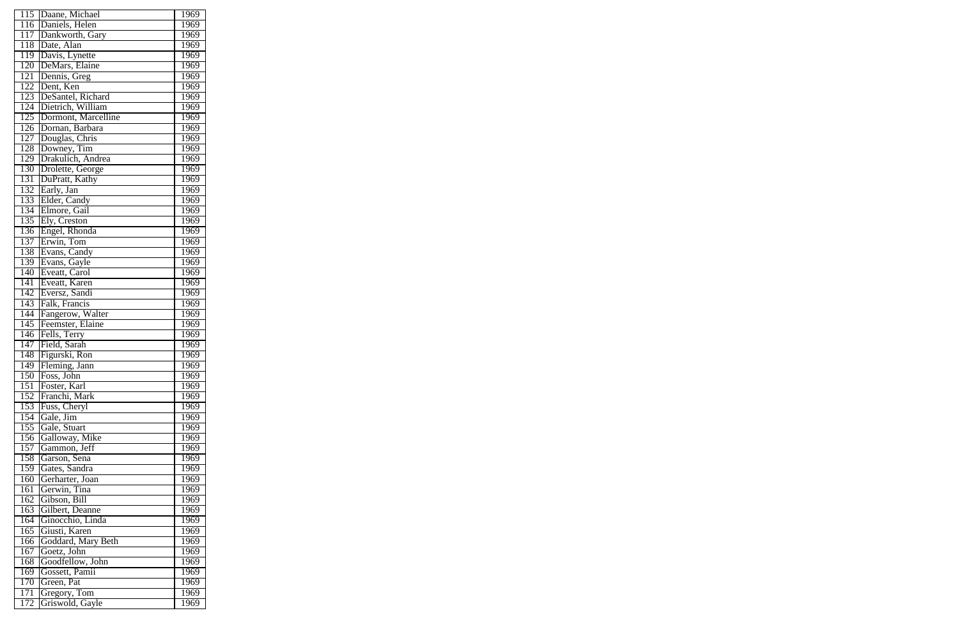| 115              | Daane, Michael      | 1969        |
|------------------|---------------------|-------------|
| 116              | Daniels, Helen      | 1969        |
| 117              | Dankworth, Gary     | 1969        |
| 118              | Date, Alan          | 1969        |
| 119              | Davis, Lynette      | 1969        |
| 120              | DeMars, Elaine      | 1969        |
| 121              | Dennis, Greg        | 1969        |
| 122              | Dent, Ken           | 1969        |
| 123              | DeSantel, Richard   | 1969        |
| 124              | Dietrich, William   | 1969        |
| 125              | Dormont, Marcelline | 1969        |
| 126              | Dornan, Barbara     | 1969        |
| 127              |                     | 1969        |
|                  | Douglas, Chris      |             |
| 128              | Downey, Tim         | 1969        |
| 129              | Drakulich, Andrea   | 1969        |
| 130              | Drolette, George    | 1969        |
| 131              | DuPratt, Kathy      | 1969        |
| 132              | Early, Jan          | 1969        |
| 133              | Elder, Candy        | 1969        |
| 134              | Elmore, Gail        | 1969        |
| 135              | Ely, Creston        | 1969        |
| 136              | Engel, Rhonda       | 1969        |
| 137              | Erwin, Tom          | 1969        |
| 138              | Evans, Candy        | 1969        |
| 139              | Evans, Gayle        | 1969        |
| 140              | Eveatt, Carol       | 1969        |
| 141              | Eveatt, Karen       | 1969        |
| 142              | Eversz, Sandi       | 1969        |
| $\overline{143}$ | Falk, Francis       | 1969        |
| 144              | Fangerow, Walter    | 1969        |
| $\overline{145}$ | Feemster, Elaine    | 1969        |
| 146              | Fells, Terry        | 1969        |
| 147              | Field, Sarah        | 1969        |
| 148              | Figurski, Ron       | 1969        |
| 149              | Fleming, Jann       | 1969        |
| 150              | Foss, John          | 1969        |
| 151              | Foster, Karl        | 1969        |
| 152              | Franchi, Mark       | 1969        |
| 153              | Fuss, Cheryl        | 1969        |
| 154              | Gale, Jim           | 1969        |
| 155              | Gale, Stuart        | 1969        |
| 156              | Galloway, Mike      | 1969        |
| 157              | Gammon, Jeff        | 1969        |
| 158              | Garson, Sena        | 1969        |
| 159              | Gates, Sandra       | 1969        |
| 160              | Gerharter, Joan     | 1969        |
| 161              | Gerwin, Tina        | 1969        |
| 162              | Gibson, Bill        | 1969        |
| 163              | Gilbert, Deanne     | 1969        |
| 164              | Ginocchio, Linda    | 1969        |
| 165              | Giusti, Karen       | 1969        |
| 166              | Goddard, Mary Beth  | 1969        |
| 167              | Goetz, John         | <u>1969</u> |
| 168              | Goodfellow, John    | 1969        |
| 169              | Gossett, Pamii      | 1969        |
| 170<br>171       | Green, Pat          | 1969        |
|                  | Gregory, Tom        | 1969        |
| 172              | Griswold, Gayle     | 1969        |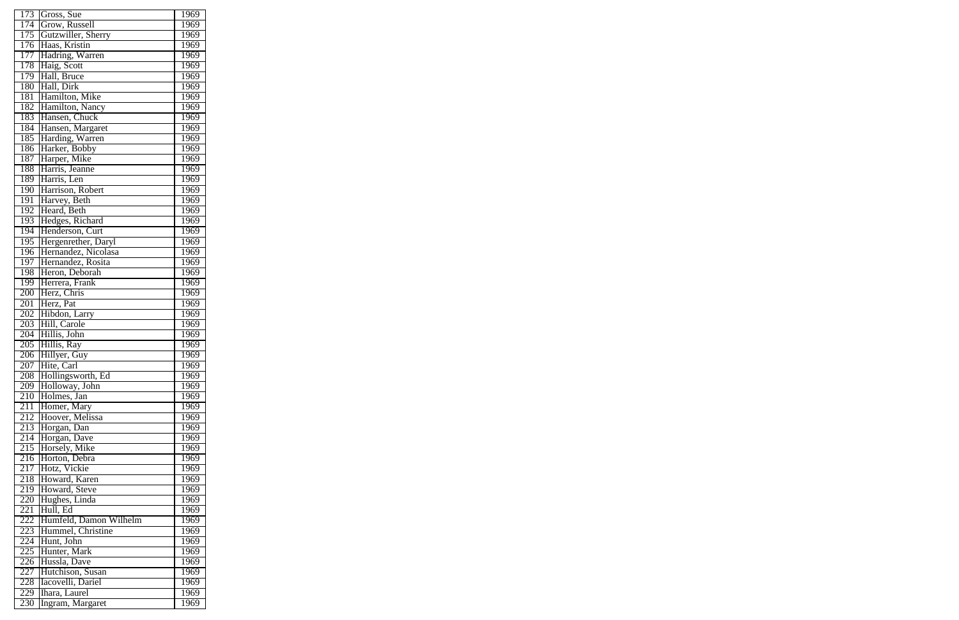| 173 | Gross, Sue                     | 1969        |
|-----|--------------------------------|-------------|
| 174 | Grow, Russell                  | 1969        |
| 175 | Gutzwiller, Sherry             | 1969        |
| 176 | Haas, Kristin                  | 1969        |
| 177 | Hadring, Warren                | 1969        |
| 178 | Haig, Scott                    | 1969        |
| 179 | Hall, Bruce                    | 1969        |
| 180 | Hall, Dirk                     | 1969        |
| 181 | Hamilton, Mike                 | 1969        |
| 182 | Hamilton, Nancy                | 1969        |
| 183 | Hansen, Chuck                  | 1969        |
| 184 | Hansen, Margaret               | 1969        |
| 185 | Harding, Warren                | 1969        |
| 186 | Harker, Bobby                  | 1969        |
| 187 |                                | 1969        |
| 188 | Harper, Mike<br>Harris, Jeanne | 1969        |
| 189 | Harris, Len                    | 1969        |
| 190 | Harrison, Robert               | 1969        |
| 191 | Harvey, Beth                   | 1969        |
| 192 |                                |             |
|     | Heard, Beth<br>Hedges, Richard | 1969        |
| 193 |                                | 1969        |
| 194 | Henderson, Curt                | 1969        |
| 195 | Hergenrether, Daryl            | 1969        |
| 196 | Hernandez, Nicolasa            | 1969        |
| 197 | Hernandez, Rosita              | 1969        |
| 198 | Heron, Deborah                 | 1969        |
| 199 | Herrera, Frank                 | 1969        |
| 200 | Herz, Chris                    | 1969        |
| 201 | Herz, Pat                      | 1969        |
| 202 | Hibdon, Larry                  | 1969        |
| 203 | Hill, Carole                   | 1969        |
| 204 | Hillis, John                   | 1969        |
| 205 | Hillis, Ray                    | 1969        |
| 206 | Hillyer, Guy                   | 1969        |
| 207 | Hite, Carl                     | <u>1969</u> |
| 208 | Hollingsworth, Ed              | 1969        |
| 209 | Holloway, John                 | 1969        |
| 210 | Holmes, Jan                    | 1969        |
| 211 | Homer, Mary                    | 1969        |
| 212 | Hoover, Melissa                | 1969        |
| 213 | Horgan, Dan                    | 1969        |
| 214 | Horgan, Dave                   | 1969        |
| 215 | Horsely, Mike                  | 1969        |
| 216 | Horton, Debra                  | 1969        |
| 217 | Hotz, Vickie                   | 1969        |
| 218 | Howard, Karen                  | 1969        |
| 219 | Howard, Steve                  | 1969        |
| 220 | Hughes, Linda                  | 1969        |
| 221 | Hull, Ed                       | 1969        |
| 222 | Humfeld, Damon Wilhelm         | 1969        |
| 223 | Hummel, Christine              | 1969        |
| 224 | Hunt, John                     | 1969        |
| 225 | Hunter, Mark                   | 1969        |
| 226 | Hussla, Dave                   | 1969        |
| 227 | Hutchison, Susan               | 1969        |
| 228 | Iacovelli, Dariel              | 1969        |
| 229 | Ihara, Laurel                  | 1969        |
|     |                                |             |
| 230 | Ingram, Margaret               | 1969        |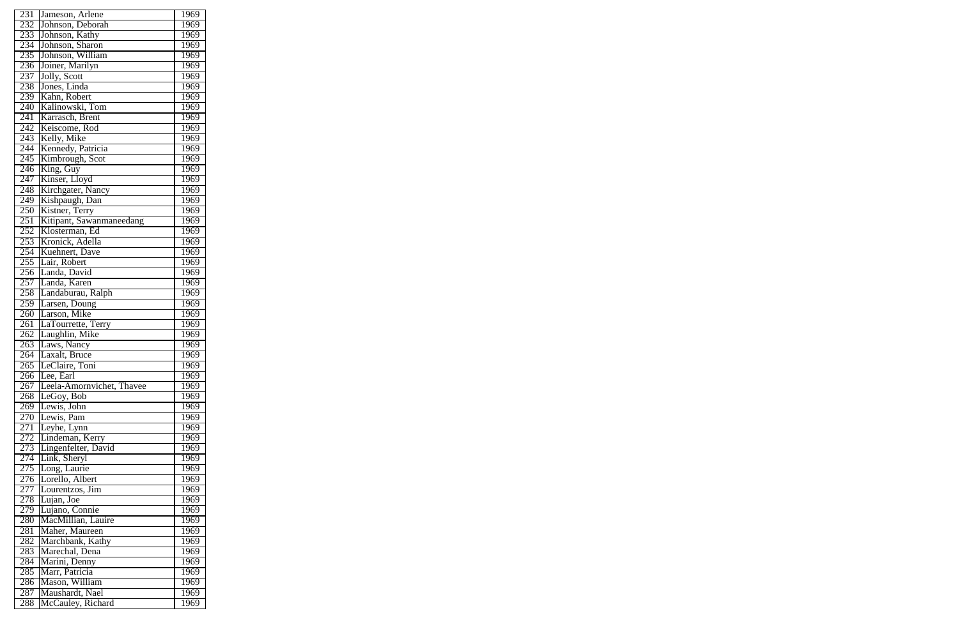| 231              | Jameson, Arlene            | 1969 |
|------------------|----------------------------|------|
| 232              | Johnson, Deborah           | 1969 |
| 233              | Johnson, Kathy             | 1969 |
| 234              | Johnson, Sharon            | 1969 |
| 235              | Johnson, William           | 1969 |
| 236              | Joiner, Marilyn            | 1969 |
|                  |                            |      |
| 237              | Jolly, Scott               | 1969 |
| 238              | Jones, Linda               | 1969 |
| 239              | Kahn, Robert               | 1969 |
| $\overline{240}$ | Kalinowski, Tom            | 1969 |
| $\overline{241}$ | Karrasch, Brent            | 1969 |
| 242              | Keiscome, Rod              | 1969 |
| 243              | Kelly, Mike                | 1969 |
| 244              | Kennedy, Patricia          | 1969 |
| 245              | Kimbrough, Scot            | 1969 |
| 246              |                            | 1969 |
| 247              | King, Guy<br>Kinser, Lloyd | 1969 |
| 248              | Kirchgater, Nancy          | 1969 |
| 249              | Kishpaugh, Dan             | 1969 |
|                  |                            |      |
| 250              | Kistner, Terry             | 1969 |
| 251              | Kitipant, Sawanmaneedang   | 1969 |
| 252              | Klosterman, Ed             | 1969 |
| 253              | Kronick, Adella            | 1969 |
| 254              | Kuehnert, Dave             | 1969 |
| 255              | Lair, Robert               | 1969 |
| 256              | Landa, David               | 1969 |
| 257              | Landa, Karen               | 1969 |
| 258              | Landaburau, Ralph          | 1969 |
| 259              | Larsen, Doung              | 1969 |
| 260              | Larson, Mike               | 1969 |
| 261              | LaTourrette, Terry         | 1969 |
| 262              | Laughlin, Mike             | 1969 |
| 263              | Laws, Nancy                | 1969 |
|                  | axalt, Bruce               |      |
| 264              | I                          | 1969 |
| $\overline{265}$ | LeClaire, Toni             | 1969 |
| 266              | Lee, Earl                  | 1969 |
| 267              | Leela-Amornvichet, Thavee  | 1969 |
| 268              | LeGoy, Bob                 | 1969 |
| 269              | Lewis, John                | 1969 |
| 270              | Lewis, Pam                 | 1969 |
| 271              | Leyhe, Lynn                | 1969 |
| 272              | Lindeman, Kerry            | 1969 |
| 273              | Lingenfelter, David        | 1969 |
| 274              | Link, Sheryl               | 1969 |
| 275              | Long, Laurie               | 1969 |
| 276              | Lorello, Albert            | 1969 |
| 277              | Lourentzos, Jim            | 1969 |
| 278              | Lujan, Joe                 | 1969 |
| 279              | Lujano, Connie             | 1969 |
|                  |                            |      |
| <b>280</b>       |                            |      |
|                  | MacMillian, Lauire         | 1969 |
| 281              | Maher, Maureen             | 1969 |
| 282              | Marchbank, Kathy           | 1969 |
| 283              | Marechal, Dena             | 1969 |
| 284              | Marini, Denny              | 1969 |
| 285              | Marr, Patricia             | 1969 |
| 286              | Mason, William             | 1969 |
| 287              | Maushardt, Nael            | 1969 |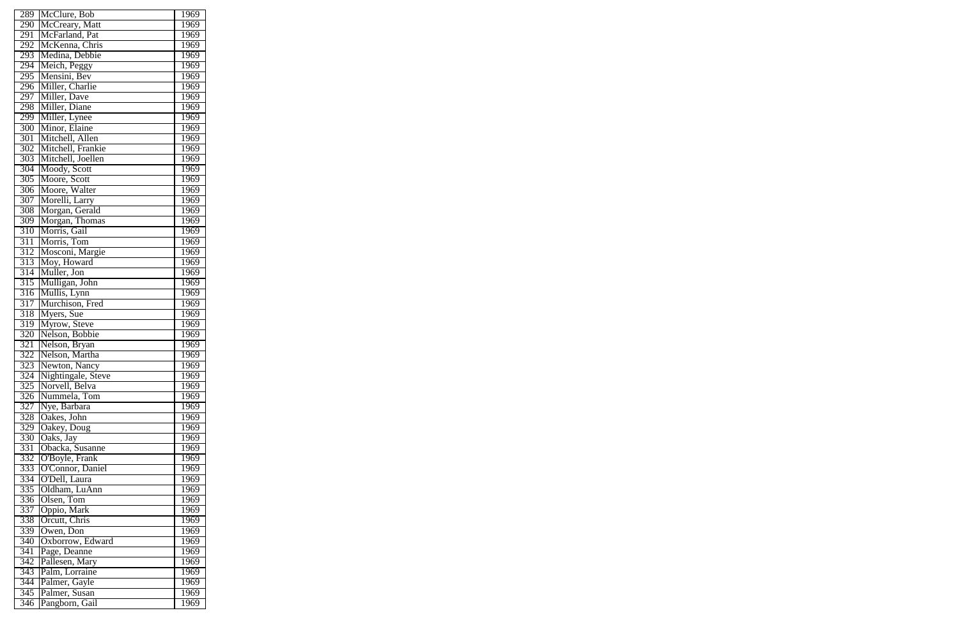| 289              | McClure, Bob                   | 1969        |
|------------------|--------------------------------|-------------|
| 290              | McCreary, Matt                 | 1969        |
| 291              | McFarland, Pat                 | 1969        |
| 292              | McKenna, Chris                 | 1969        |
| 293              | Medina, Debbie                 | 1969        |
| 294              |                                | 1969        |
| 295              | Meich, Peggy<br>Mensini, Bev   | 1969        |
| 296              | Miller, Charlie                | 1969        |
| 297              | Miller, Dave                   | 1969        |
| 298              | Miller, Diane                  | 1969        |
| 299              | Miller, Lynee                  | 1969        |
| 300              | Minor, Elaine                  | 1969        |
| 301              | Mitchell, Allen                | 1969        |
| 302              | Mitchell, Frankie              | 1969        |
| 303              | Mitchell, Joellen              |             |
| 304              |                                | 1969        |
|                  | Moody, Scott                   | 1969        |
| 305              | Moore, Scott                   | 1969        |
| 306              | Moore, Walter                  | 1969        |
| 307              | Morelli, Larry                 | 1969        |
| 308              | Morgan, Gerald                 | 1969        |
| 309              | Morgan, Thomas                 | 1969        |
| 310              | Morris, Gail                   | 1969        |
| $\overline{311}$ | Morris, Tom                    | 1969        |
| 312              | Mosconi, Margie                | 1969        |
| 313              | Moy, Howard                    | 1969        |
| $\overline{314}$ | Muller, Jon                    | 1969        |
| 315              | Mulligan, John                 | 1969        |
| 316              | Mullis, Lynn                   | 1969        |
| 317              | Murchison, Fred                | 1969        |
| 318              | Myers, Sue                     | 1969        |
| 319              | Myrow, Steve                   | 1969        |
| 320              | Nelson, Bobbie                 | 1969        |
| 321              | Nelson, Bryan                  | 1969        |
| 322              | Nelson, Martha                 | 1969        |
| 323              | Newton, Nancy                  | 1969        |
| 324              | Nightingale, Steve             | 1969        |
| $3\overline{25}$ | Norvell, Belva                 | 1969        |
| $\overline{3}26$ | Nummela, Tom                   | <u>1969</u> |
| 327              | Nye, Barbara                   | 1969        |
| 328              | Oakes, John                    | 1969        |
| $\overline{3}29$ | Oakey, Doug                    | 1969        |
| 330              | Oaks, Jay                      | 1969        |
| 331              | Obacka, Susanne                | 1969        |
| 332              | O'Boyle, Frank                 | 1969        |
| 333              | O'Connor, Daniel               | 1969        |
| 334              | O'Dell, Laura                  | 1969        |
| 335              | Oldham, LuAnn                  | 1969        |
| 336              | Olsen, Tom                     | 1969        |
| 337              | Oppio, Mark                    | 1969        |
| 338              | Orcutt, Chris                  | 1969        |
| 339              | Owen, Don                      | 1969        |
| 340              | Oxborrow, Edward               | 1969        |
| 341              | Page, Deanne                   | 1969        |
| 342              | Pallesen, Mary                 | 1969        |
| 343              | Palm, Lorraine                 | 1969        |
| 344              | Palmer, Gayle<br>Palmer, Susan | 1969        |
| 345              |                                | 1969        |
| 346              | Pangborn, Gail                 | 1969        |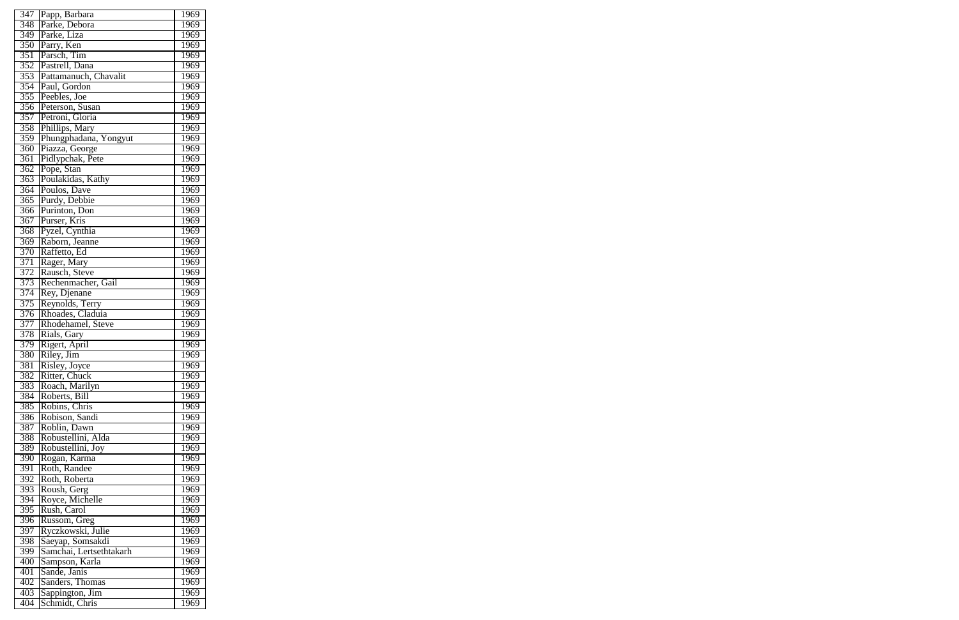| 347              | Papp, Barbara                         | 1969              |
|------------------|---------------------------------------|-------------------|
| 348              | Parke, Debora                         | 1969              |
| 349              | Parke, Liza                           | 1969              |
| 350              | Parry, Ken                            | 1969              |
| 351              | Parsch, Tim                           | 1969              |
| 352              | Pastrell, Dana                        | 1969              |
| 353              | Pattamanuch, Chavalit                 | 1969              |
| 354              | Paul, Gordon                          | 1969              |
| 355              | Peebles, Joe                          | 1969              |
|                  |                                       |                   |
| 356              | Peterson, Susan                       | 1969              |
| $\overline{357}$ | Petroni, Gloria                       | 1969              |
| 358              | Phillips, Mary                        | 1969              |
| 359              | Phungphadana, Yongyut                 | 1969              |
| 360              | Piazza, George                        | 1969              |
| 361              | Pidlypchak, Pete                      | 1969              |
| $\overline{362}$ | Pope, Stan                            | 1969              |
| 363              | Poulakidas, Kathy                     | 1969              |
| 364              | Poulos, Dave                          | 1969              |
| 365              | Purdy, Debbie                         | 1969              |
| 366              | Purinton, Don                         | 1969              |
| $\overline{367}$ | Purser, Kris                          | 1969              |
| 368              | Pyzel, Cynthia                        | 1969              |
| 369              | Raborn, Jeanne                        | 1969              |
| 370              | Raffetto, Ed                          | 1969              |
| 371              | Rager, Mary                           | 1969              |
| 372              | Rausch, Steve                         | 1969              |
| 373              | Rechenmacher, Gail                    | 1969              |
| 374              | Rey, Djenane                          | 1969              |
| 375              | Reynolds, Terry                       | 1969              |
| 376              |                                       | 1969              |
| 377              | Rhoades, Claduia<br>Rhodehamel, Steve | 1969              |
| 378              | Rials, Gary                           | 1969              |
| 379              |                                       | 1969              |
|                  | Rigert, April                         |                   |
| 380              | Riley, Jim                            | 1969              |
| 381              | Risley, Joyce                         | 1969              |
| 382              | Ritter, Chuck                         | $\overline{1}969$ |
| 383              | Roach, Marilyn                        | 1969              |
| 384              | Roberts, Bill                         | 1969              |
| 385              | Robins, Chris                         | 1969              |
| 386              | Robison, Sandi                        | 1969              |
| 387              | Roblin, Dawn                          | 1969              |
| 388              | Robustellini, Alda                    | 1969              |
| 389              | Robustellini, Joy                     | 1969              |
| 390              | Rogan, Karma                          | 1969              |
| 391              | Roth, Randee                          | 1969              |
| 392              | Roth, Roberta                         | 1969              |
| 393              | Roush, Gerg                           | 1969              |
| 394              | Royce, Michelle                       | 1969              |
| 395              | Rush, Carol                           | 1969              |
| 396              | Russom, Greg                          | 1969              |
| 397              | Ryczkowski, Julie                     | 1969              |
| 398              | Saeyap, Somsakdi                      | 1969              |
| 399              | Samchai, Lertsethtakarh               | 1969              |
| 400              | Sampson, Karla                        | 1969              |
| 401              | Sande, Janis                          | 1969              |
| 402              | Sanders, Thomas                       | 1969              |
| 403              | Sappington, Jim                       | 1969              |
| 404              | Schmidt, Chris                        | 1969              |
|                  |                                       |                   |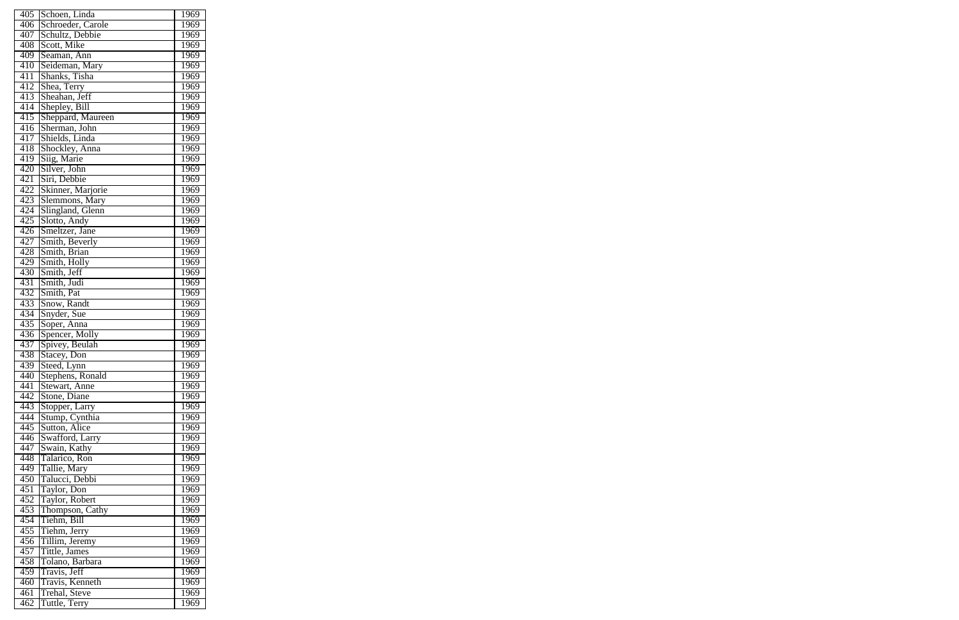| 405 | Schoen, Linda     | 1969              |
|-----|-------------------|-------------------|
| 406 | Schroeder, Carole | 1969              |
| 407 | Schultz, Debbie   | 1969              |
| 408 | Scott, Mike       | 1969              |
| 409 | Seaman, Ann       | 1969              |
| 410 | Seideman, Mary    | 1969              |
| 411 | Shanks, Tisha     | 1969              |
| 412 | Shea, Terry       | 1969              |
| 413 | Sheahan, Jeff     | 1969              |
| 414 | Shepley, Bill     | 1969              |
| 415 | Sheppard, Maureen | 1969              |
| 416 | Sherman, John     | 1969              |
| 417 | Shields, Linda    | 1969              |
| 418 | Shockley, Anna    | 1969              |
| 419 | Siig, Marie       | 1969              |
| 420 | Silver, John      | 1969              |
| 421 | Siri, Debbie      | 1969              |
| 422 | Skinner, Marjorie | 1969              |
| 423 | Slemmons, Mary    | 1969              |
| 424 |                   |                   |
|     | Slingland, Glenn  | 1969              |
| 425 | Slotto, Andy      | 1969              |
| 426 | Smeltzer, Jane    | $196\overline{9}$ |
| 427 | Smith, Beverly    | 1969              |
| 428 | Smith, Brian      | 1969              |
| 429 | Smith, Holly      | 1969              |
| 430 | Smith, Jeff       | 1969              |
| 431 | Smith, Judi       | 1969              |
| 432 | Smith, Pat        | 1969              |
| 433 | Snow, Randt       | 1969              |
| 434 | Snyder, Sue       | 1969              |
| 435 | Soper, Anna       | 1969              |
| 436 | Spencer, Molly    | 1969              |
| 437 | Spivey, Beulah    | 1969              |
| 438 | Stacey, Don       | 1969              |
| 439 | Steed, Lynn       | 1969              |
| 440 | Stephens, Ronald  | 1969              |
| 441 | Stewart, Anne     | 1969              |
| 442 | Stone, Diane      | 1969              |
| 443 | Stopper, Larry    | 1969              |
| 444 | Stump, Cynthia    | 1969              |
| 445 | Sutton, Alice     | 1969              |
| 446 | Swafford, Larry   | 1969              |
| 447 | Swain, Kathy      | 1969              |
| 448 | Talarico, Ron     | $196\overline{9}$ |
| 449 | Tallie, Mary      | 1969              |
| 450 | Talucci, Debbi    | 1969              |
| 451 | Taylor, Don       | 1969              |
| 452 | Taylor, Robert    | 1969              |
| 453 | Thompson, Cathy   | $196\overline{9}$ |
| 454 | Tiehm, Bill       | 1969              |
| 455 | Tiehm, Jerry      | 1969              |
| 456 | Tillim, Jeremy    | 1969              |
| 457 | Tittle, James     | 1969              |
| 458 | Tolano, Barbara   | $196\overline{9}$ |
| 459 | Travis, Jeff      | 1969              |
| 460 | Travis, Kenneth   | 1969              |
| 461 | Trehal, Steve     | 1969              |
| 462 | Tuttle, Terry     | 1969              |
|     |                   |                   |